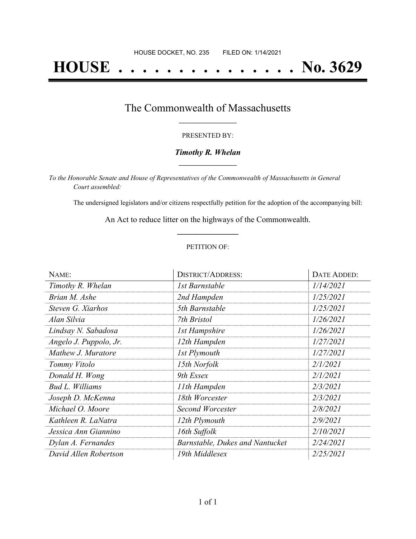# **HOUSE . . . . . . . . . . . . . . . No. 3629**

## The Commonwealth of Massachusetts **\_\_\_\_\_\_\_\_\_\_\_\_\_\_\_\_\_**

#### PRESENTED BY:

#### *Timothy R. Whelan* **\_\_\_\_\_\_\_\_\_\_\_\_\_\_\_\_\_**

*To the Honorable Senate and House of Representatives of the Commonwealth of Massachusetts in General Court assembled:*

The undersigned legislators and/or citizens respectfully petition for the adoption of the accompanying bill:

An Act to reduce litter on the highways of the Commonwealth. **\_\_\_\_\_\_\_\_\_\_\_\_\_\_\_**

#### PETITION OF:

| NAME:                  | <b>DISTRICT/ADDRESS:</b>        | DATE ADDED: |
|------------------------|---------------------------------|-------------|
| Timothy R. Whelan      | 1st Barnstable                  | 1/14/2021   |
| Brian M. Ashe          | 2nd Hampden                     | 1/25/2021   |
| Steven G. Xiarhos      | 5th Barnstable                  | 1/25/2021   |
| Alan Silvia            | 7th Bristol                     | 1/26/2021   |
| Lindsay N. Sabadosa    | <i>Ist Hampshire</i>            | 1/26/2021   |
| Angelo J. Puppolo, Jr. | 12th Hampden                    | 1/27/2021   |
| Mathew J. Muratore     | 1st Plymouth                    | 1/27/2021   |
| Tommy Vitolo           | 15th Norfolk                    | 2/1/2021    |
| Donald H. Wong         | 9th Essex                       | 2/1/2021    |
| Bud L. Williams        | 11th Hampden                    | 2/3/2021    |
| Joseph D. McKenna      | 18th Worcester                  | 2/3/2021    |
| Michael O. Moore       | Second Worcester                | 2/8/2021    |
| Kathleen R. LaNatra    | 12th Plymouth                   | 2/9/2021    |
| Jessica Ann Giannino   | 16th Suffolk                    | 2/10/2021   |
| Dylan A. Fernandes     | Barnstable, Dukes and Nantucket | 2/24/2021   |
| David Allen Robertson  | 19th Middlesex                  | 2/25/2021   |